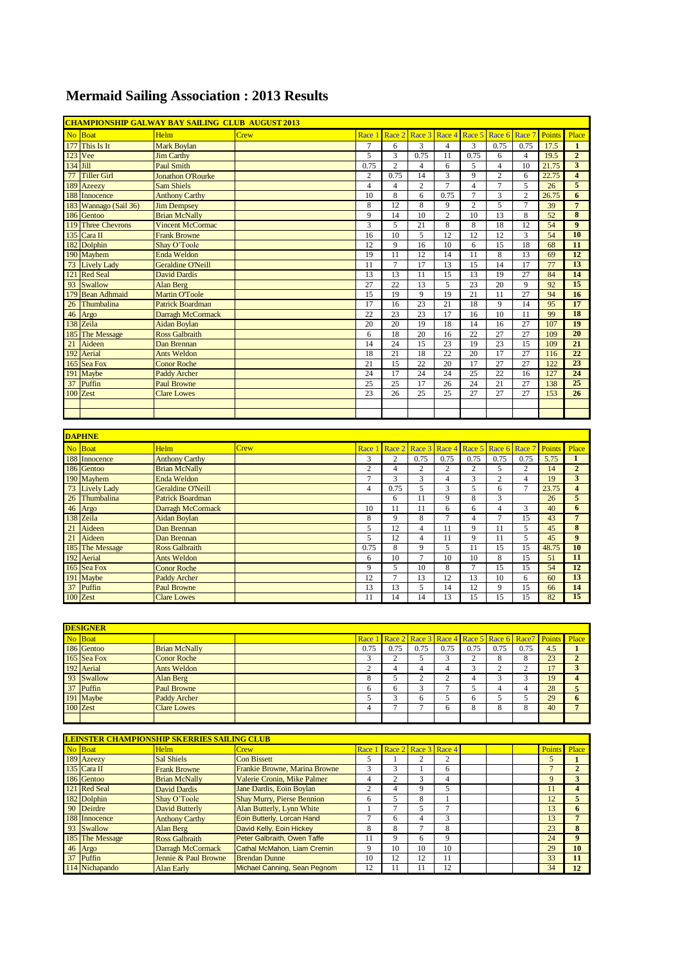## **Mermaid Sailing Association : 2013 Results**

|                | <b>CHAMPIONSHIP GALWAY BAY SAILING CLUB AUGUST 2013</b> |                          |      |                |                 |                             |                 |                         |                 |                 |               |                         |
|----------------|---------------------------------------------------------|--------------------------|------|----------------|-----------------|-----------------------------|-----------------|-------------------------|-----------------|-----------------|---------------|-------------------------|
| N <sub>o</sub> | <b>Boat</b>                                             | <b>Helm</b>              | Crew | Race 1         |                 | Race 2 Race 3 Race 4 Race 5 |                 |                         | Race 6          | Race 7          | <b>Points</b> | Place                   |
| 177            | This Is It                                              | <b>Mark Boylan</b>       |      | $\tau$         | 6               | 3                           | $\overline{4}$  | 3                       | 0.75            | 0.75            | 17.5          | $\mathbf{1}$            |
| 123            | Vee                                                     | <b>Jim Carthy</b>        |      | 5              | 3               | 0.75                        | 11              | 0.75                    | 6               | $\overline{4}$  | 19.5          | $\overline{2}$          |
| 134            | Jill                                                    | <b>Paul Smith</b>        |      | 0.75           | $\overline{c}$  | $\overline{4}$              | 6               | 5                       | $\overline{4}$  | 10              | 21.75         | 3                       |
| 77             | <b>Tiller Girl</b>                                      | <b>Jonathon O'Rourke</b> |      | $\overline{c}$ | 0.75            | 14                          | 3               | 9                       | $\mathbf{2}$    | 6               | 22.75         | $\overline{\mathbf{4}}$ |
| 189            | Azeezy                                                  | <b>Sam Shiels</b>        |      | $\overline{4}$ | $\overline{4}$  | $\overline{c}$              | 7               | $\overline{4}$          | $\overline{7}$  | 5               | 26            | 5                       |
| 188            | Innocence                                               | <b>Anthony Carthy</b>    |      | 10             | 8               | 6                           | 0.75            | $\tau$                  | 3               | $\overline{c}$  | 26.75         | 6                       |
| 183            | Wannago (Sail 36)                                       | <b>Jim Dempsey</b>       |      | 8              | 12              | 8                           | 9               | $\overline{c}$          | 5               | $\overline{7}$  | 39            | $\overline{7}$          |
| 186            | Gentoo                                                  | <b>Brian McNally</b>     |      | 9              | 14              | 10                          | $\overline{c}$  | 10                      | 13              | 8               | 52            | $\overline{\bf 8}$      |
| 119            | <b>Three Chevrons</b>                                   | <b>Vincent McCormac</b>  |      | 3              | 5               | 21                          | $\,$ 8 $\,$     | $\,8\,$                 | 18              | 12              | 54            | $\overline{9}$          |
| 135            | Cara II                                                 | <b>Frank Browne</b>      |      | 16             | 10              | 5                           | $\overline{12}$ | 12                      | 12              | 3               | 54            | 10                      |
| 182            | Dolphin                                                 | Shay O'Toole             |      | 12             | 9               | 16                          | 10              | $\sqrt{6}$              | 15              | 18              | 68            | 11                      |
| 190            | Mayhem                                                  | <b>Enda Weldon</b>       |      | 19             | 11              | 12                          | 14              | 11                      | 8               | 13              | 69            | 12                      |
| 73             | <b>Lively Lady</b>                                      | <b>Geraldine O'Neill</b> |      | 11             | $\overline{7}$  | 17                          | 13              | 15                      | 14              | 17              | 77            | 13                      |
| 121            | <b>Red Seal</b>                                         | <b>David Dardis</b>      |      | 13             | 13              | 11                          | 15              | 13                      | 19              | 27              | 84            | 14                      |
| 93             | Swallow                                                 | <b>Alan Berg</b>         |      | 27             | $\overline{22}$ | 13                          | 5               | 23                      | 20              | 9               | 92            | 15                      |
| 179            | <b>Bean Adhmaid</b>                                     | <b>Martin O'Toole</b>    |      | 15             | 19              | 9                           | 19              | 21                      | 11              | 27              | 94            | 16                      |
| 26             | Thumbalina                                              | <b>Patrick Boardman</b>  |      | 17             | 16              | 23                          | $\overline{21}$ | 18                      | 9               | 14              | 95            | 17                      |
| 46             | Argo                                                    | Darragh McCormack        |      | 22             | 23              | 23                          | 17              | 16                      | 10              | 11              | 99            | <b>18</b>               |
| 138            | Zeila                                                   | <b>Aidan Boylan</b>      |      | 20             | 20              | 19                          | 18              | 14                      | 16              | $\overline{27}$ | 107           | 19                      |
|                | 185 The Message                                         | <b>Ross Galbraith</b>    |      | 6              | 18              | 20                          | 16              | 22                      | 27              | 27              | 109           | 20                      |
| 21             | Aideen                                                  | Dan Brennan              |      | 14             | 24              | $\overline{15}$             | $\overline{23}$ | 19                      | 23              | $\overline{15}$ | 109           | $\overline{21}$         |
| 192            | Aerial                                                  | <b>Ants Weldon</b>       |      | 18             | 21              | 18                          | 22              | 20                      | 17              | 27              | 116           | 22                      |
| 165            | Sea Fox                                                 | <b>Conor Roche</b>       |      | 21             | 15              | $\overline{22}$             | 20              | 17                      | $\overline{27}$ | 27              | 122           | 23                      |
| 191            | Maybe                                                   | <b>Paddy Archer</b>      |      | 24             | 17              | 24                          | 24              | $\overline{25}$         | 22              | 16              | 127           | 24                      |
| 37             | Puffin                                                  | <b>Paul Browne</b>       |      | 25             | 25              | 17                          | 26              | 24                      | $\overline{21}$ | 27              | 138           | 25                      |
|                | 100 Zest                                                | <b>Clare Lowes</b>       |      | 23             | 26              | 25                          | 25              | 27                      | 27              | 27              | 153           | 26                      |
|                |                                                         |                          |      |                |                 |                             |                 |                         |                 |                 |               |                         |
|                |                                                         |                          |      |                |                 |                             |                 |                         |                 |                 |               |                         |
|                |                                                         |                          |      |                |                 |                             |                 |                         |                 |                 |               |                         |
|                | <b>DAPHNE</b>                                           |                          |      |                |                 |                             |                 |                         |                 |                 |               |                         |
| N <sub>o</sub> | <b>Boat</b>                                             | Helm                     | Crew | Race 1         | Race 2          | Race 3                      | Race 4          | Race 5                  | Race 6          | Race 7          | Points        | Place                   |
|                | 188 Innocence                                           | <b>Anthony Carthy</b>    |      | 3              | $\overline{c}$  | 0.75                        | 0.75            | 0.75                    | 0.75            | 0.75            | 5.75          | $\mathbf{1}$            |
| 186            | Gentoo                                                  | <b>Brian McNally</b>     |      | $\overline{2}$ | $\overline{4}$  | $\overline{c}$              | $\overline{2}$  | $\sqrt{2}$              | 5               | $\overline{c}$  | 14            | $\overline{2}$          |
|                | 190 Mayhem                                              | <b>Enda Weldon</b>       |      | $\overline{7}$ | $\overline{3}$  | 3                           | $\overline{4}$  | $\overline{\mathbf{3}}$ | $\mathbf{2}$    | $\overline{4}$  | 19            | $\overline{\mathbf{3}}$ |
| 73             | <b>Lively Lady</b>                                      | <b>Geraldine O'Neill</b> |      | $\overline{4}$ | 0.75            | 5                           | 3               | 5                       | 6               | $\overline{7}$  | 23.75         | $\overline{\mathbf{4}}$ |
| 26             | Thumbalina                                              | <b>Patrick Boardman</b>  |      |                | 6               | 11                          | 9               | 8                       | 3               |                 | 26            | 5                       |
| 46             | Argo                                                    | Darragh McCormack        |      | 10             | 11              | 11                          | 6               | 6                       | $\overline{4}$  | 3               | 40            | 6                       |
| 138            | Zeila                                                   | <b>Aidan Boylan</b>      |      | 8              | 9               | 8                           | 7               | $\overline{4}$          | $\overline{7}$  | 15              | 43            | $\overline{7}$          |
| 21             | Aideen                                                  | Dan Brennan              |      | 5              | 12              | $\overline{4}$              | 11              | 9                       | 11              | 5               | 45            | $\overline{\bf 8}$      |
| 21             | Aideen                                                  | Dan Brennan              |      | 5              | 12              | $\overline{4}$              | 11              | 9                       | 11              | 5               | 45            | 9                       |
| 185            | <b>The Message</b>                                      | <b>Ross Galbraith</b>    |      | 0.75           | 8               | 9                           | 5               | 11                      | 15              | 15              | 48.75         | 10                      |
| 192            | Aerial                                                  | <b>Ants Weldon</b>       |      | 6              | 10              | $\overline{7}$              | 10              | 10                      | 8               | 15              | 51            | 11                      |
| 165            | Sea Fox                                                 | <b>Conor Roche</b>       |      | 9              | 5               | 10                          | $\,$ 8 $\,$     | $\overline{7}$          | 15              | 15              | 54            | 12                      |
| 191            | Maybe                                                   | <b>Paddy Archer</b>      |      | 12             | $\overline{7}$  | 13                          | $\overline{12}$ | 13                      | 10              | 6               | 60            | 13                      |
|                | 37 Puffin                                               | <b>Paul Browne</b>       |      | 13             | 13              | 5                           | 14              | 12                      | $\overline{Q}$  | 15              | 66            | 14                      |

| <b>DESIGNER</b> |                      |      |      |                                                               |      |            |      |      |     |              |
|-----------------|----------------------|------|------|---------------------------------------------------------------|------|------------|------|------|-----|--------------|
| No Boat         |                      |      |      | Race 1 Race 2 Race 3 Race 4 Race 5 Race 6 Race 7 Points Place |      |            |      |      |     |              |
| 186 Gentoo      | <b>Brian McNally</b> | 0.75 | 0.75 | 0.75                                                          | 0.75 | 0.75       | 0.75 | 0.75 | 4.5 |              |
| 165 Sea Fox     | Conor Roche          |      |      |                                                               |      |            |      |      | 23  |              |
| 192 Aerial      | <b>Ants Weldon</b>   |      |      |                                                               |      | $\sqrt{2}$ | ◠    |      |     |              |
| 93 Swallow      | <b>Alan Berg</b>     |      |      |                                                               | ∠    |            | ◠    |      | 19  |              |
| 37 Puffin       | <b>Paul Browne</b>   |      |      |                                                               |      |            |      |      | 28  |              |
| 191 Maybe       | Paddy Archer         |      |      | $\sigma$                                                      |      | h          |      |      | 29  | $\mathbf{v}$ |
| $100$ Zest      | <b>Clare Lowes</b>   |      |      |                                                               |      | ◠          |      |      | 40  |              |
|                 |                      |      |      |                                                               |      |            |      |      |     |              |

100 Zest Clare Lowes 200 Clare Lowes 200 2est 200 Leg 11 14 14 13 15 15 15 22 15

|                 | <b>LEINSTER CHAMPIONSHIP SKERRIES SAILING CLUB</b> |                                   |        |    |                      |    |  |               |       |
|-----------------|----------------------------------------------------|-----------------------------------|--------|----|----------------------|----|--|---------------|-------|
| No Boat         | <b>Helm</b>                                        | Crew                              | Race 1 |    | Race 2 Race 3 Race 4 |    |  | <b>Points</b> | Place |
| 189 Azeezy      | Sal Shiels                                         | <b>Con Bissett</b>                |        |    |                      |    |  |               |       |
| $135$ Cara II   | <b>Frank Browne</b>                                | Frankie Browne, Marina Browne     |        |    |                      | 6  |  |               |       |
| 186 Gentoo      | <b>Brian McNally</b>                               | Valerie Cronin, Mike Palmer       | 4      |    | 3                    | 4  |  | 9             | 3     |
| 121 Red Seal    | <b>David Dardis</b>                                | Jane Dardis, Eoin Boylan          |        | 4  | 9                    |    |  | 11            |       |
| 182 Dolphin     | Shay O'Toole                                       | <b>Shay Murry, Pierse Bennion</b> | 6      |    | 8                    |    |  | 12            |       |
| 90 Deirdre      | <b>David Butterly</b>                              | Alan Butterly, Lynn White         |        |    |                      |    |  | 13            | 6     |
| 188 Innocence   | <b>Anthony Carthy</b>                              | Eoin Butterly, Lorcan Hand        |        | 6  | 4                    | 3  |  | 13            |       |
| 93 Swallow      | Alan Berg                                          | David Kelly, Eoin Hickey          | 8      | 8  |                      | 8  |  | 23            | 8     |
| 185 The Message | <b>Ross Galbraith</b>                              | Peter Galbraith, Owen Taffe       |        | Q  | 6                    | q  |  | 24            | 9     |
| 46 Argo         | Darragh McCormack                                  | Cathal McMahon, Liam Cremin       |        | 10 | 10                   | 10 |  | 29            | 10    |
| 37 Puffin       | Jennie & Paul Browne                               | <b>Brendan Dunne</b>              | 10     | 12 | 12                   | 11 |  | 33            | 11    |
| 114 Nichapando  | <b>Alan Early</b>                                  | Michael Canning, Sean Pegnom      | 12     |    |                      | 12 |  | 34            | 12    |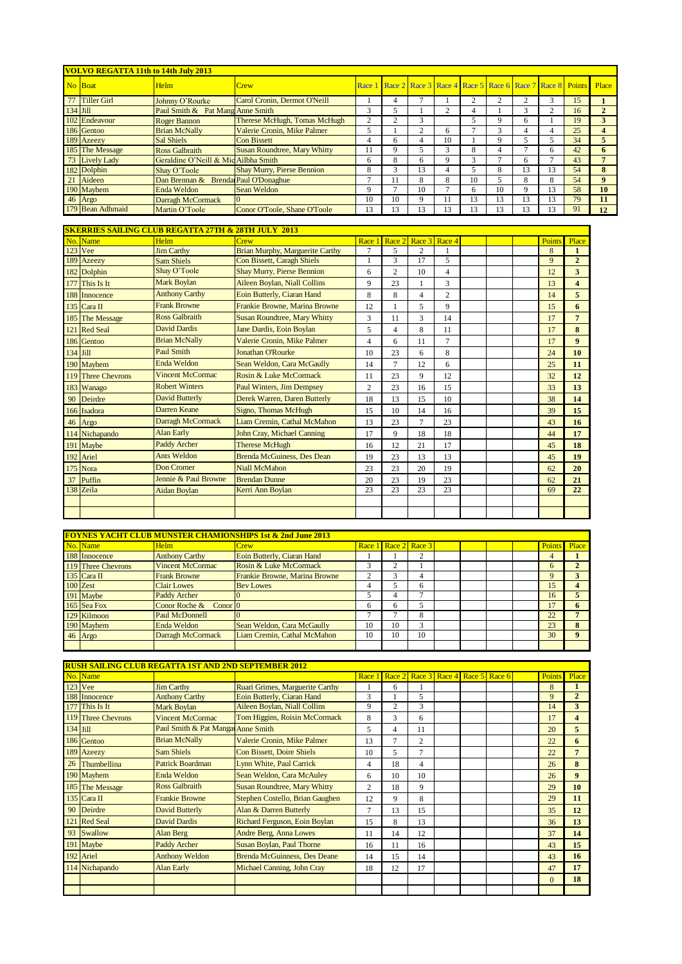|          | <b>VOLVO REGATTA 11th to 14th July 2013</b> |                                      |                                     |        |                                                               |    |    |    |    |    |    |    |    |
|----------|---------------------------------------------|--------------------------------------|-------------------------------------|--------|---------------------------------------------------------------|----|----|----|----|----|----|----|----|
|          | No Boat                                     | <b>Helm</b>                          | <b>Crew</b>                         | Race 1 | Race 2 Race 3 Race 4 Race 5 Race 6 Race 7 Race 8 Points Place |    |    |    |    |    |    |    |    |
|          | 77 Tiller Girl                              | Johnny O'Rourke                      | Carol Cronin, Dermot O'Neill        |        | 4                                                             |    |    |    |    | 2  | 3  | 15 |    |
| 134 Jill |                                             | Paul Smith & Pat Mang Anne Smith     |                                     | 3      |                                                               |    |    |    |    | 3  | 2  | 16 |    |
|          | 102 Endeavour                               | Roger Bannon                         | Therese McHugh, Tomas McHugh        | 2      |                                                               | 3  |    |    |    | 6  |    | 19 |    |
|          | 186 Gentoo                                  | <b>Brian McNally</b>                 | Valerie Cronin, Mike Palmer         |        |                                                               | ◠  | 6  |    | ⌒  |    | 4  | 25 |    |
|          | 189 Azeezy                                  | <b>Sal Shiels</b>                    | <b>Con Bissett</b>                  | 4      |                                                               | 4  | 10 |    |    |    |    | 34 |    |
|          | 185 The Message                             | <b>Ross Galbraith</b>                | <b>Susan Roundtree, Mary Whitty</b> | 11     |                                                               |    |    | 8  |    |    | 6  | 42 | 6. |
|          | 73 Lively Lady                              | Geraldine O'Neill & Mic Ailbha Smith |                                     | 6      | 8                                                             | 6  | Q  |    |    | 6  |    | 43 |    |
|          | 182 Dolphin                                 | Shav O'Toole                         | <b>Shay Murry, Pierse Bennion</b>   | 8      |                                                               | 13 |    |    | 8  | 13 | 13 | 54 | 8  |
|          | 21 Aideen                                   | Dan Brennan & Brenda Paul O'Donaghue |                                     |        |                                                               | 8  | 8  | 10 |    | 8  | 8  | 54 | 9  |
|          | 190 Mayhem                                  | Enda Weldon                          | <b>Sean Weldon</b>                  | 9      |                                                               | 10 |    | 6  | 10 | 9  | 13 | 58 | 10 |
|          | 46 Argo                                     | Darragh McCormack                    |                                     | 10     | 10                                                            | 9  | 11 | 13 | 13 | 13 | 13 | 79 | 11 |
|          | 179 Bean Adhmaid                            | Martin O'Toole                       | Conor O'Toole, Shane O'Toole        | 13     | 13                                                            | 13 | 13 | 13 | 13 | 13 | 13 | 91 | 12 |

|          |                    | <b>SKERRIES SAILING CLUB REGATTA 27TH &amp; 28TH JULY 2013</b> |                                     |                |                |                      |                |  |        |                         |
|----------|--------------------|----------------------------------------------------------------|-------------------------------------|----------------|----------------|----------------------|----------------|--|--------|-------------------------|
|          | No. Name           | Helm                                                           | $C$ rew                             | Race 1         |                | Race 2 Race 3 Race 4 |                |  | Points | Place                   |
|          | 123 Vee            | <b>Jim Carthy</b>                                              | Brian Murphy, Marguerite Carthy     | $\overline{7}$ | 5              | 2                    |                |  | 8      | $\mathbf{1}$            |
| 189      | Azeezy             | <b>Sam Shiels</b>                                              | <b>Con Bissett, Caragh Shiels</b>   |                | 3              | 17                   | 5              |  | 9      | $\overline{2}$          |
|          | 182 Dolphin        | Shay O'Toole                                                   | <b>Shay Murry, Pierse Bennion</b>   | 6              | $\overline{c}$ | 10                   | $\overline{4}$ |  | 12     | 3                       |
| 177      | This Is It         | <b>Mark Boylan</b>                                             | Aileen Boylan, Niall Collins        | 9              | 23             |                      | 3              |  | 13     | $\overline{\mathbf{4}}$ |
|          | 188 Innocence      | <b>Anthony Carthy</b>                                          | Eoin Butterly, Ciaran Hand          | 8              | 8              | 4                    | $\overline{c}$ |  | 14     | 5                       |
|          | 135 Cara II        | <b>Frank Browne</b>                                            | Frankie Browne, Marina Browne       | 12             |                | 5                    | 9              |  | 15     | 6                       |
|          | 185 The Message    | <b>Ross Galbraith</b>                                          | <b>Susan Roundtree, Mary Whitty</b> | 3              | 11             | 3                    | 14             |  | 17     | $\overline{7}$          |
|          | 121 Red Seal       | <b>David Dardis</b>                                            | Jane Dardis, Eoin Boylan            | 5              | 4              | 8                    | 11             |  | 17     | 8                       |
|          | 186 Gentoo         | <b>Brian McNally</b>                                           | Valerie Cronin, Mike Palmer         | 4              | 6              | 11                   | $\overline{7}$ |  | 17     | $\boldsymbol{9}$        |
| 134 Jill |                    | <b>Paul Smith</b>                                              | <b>Jonathan O'Rourke</b>            | 10             | 23             | 6                    | 8              |  | 24     | 10                      |
|          | 190 Mayhem         | Enda Weldon                                                    | Sean Weldon, Cara McGaully          | 14             | $\overline{7}$ | 12                   | 6              |  | 25     | 11                      |
|          | 119 Three Chevrons | <b>Vincent McCormac</b>                                        | Rosin & Luke McCormack              | 11             | 23             | 9                    | 12             |  | 32     | 12                      |
|          | 183 Wanago         | <b>Robert Winters</b>                                          | <b>Paul Winters, Jim Dempsey</b>    | $\overline{c}$ | 23             | 16                   | 15             |  | 33     | 13                      |
|          | 90 Deirdre         | <b>David Butterly</b>                                          | Derek Warren, Daren Butterly        | 18             | 13             | 15                   | 10             |  | 38     | 14                      |
|          | 166 Isadora        | Darren Keane                                                   | Signo, Thomas McHugh                | 15             | 10             | 14                   | 16             |  | 39     | 15                      |
|          | 46 Argo            | Darragh McCormack                                              | Liam Cremin, Cathal McMahon         | 13             | 23             | 7                    | 23             |  | 43     | 16                      |
|          | 114 Nichapando     | <b>Alan Early</b>                                              | <b>John Cray, Michael Canning</b>   | 17             | 9              | 18                   | 18             |  | 44     | 17                      |
|          | 191 Maybe          | Paddy Archer                                                   | <b>Therese McHugh</b>               | 16             | 12             | 21                   | 17             |  | 45     | 18                      |
|          | 192 Ariel          | Ants Weldon                                                    | <b>Brenda McGuiness, Des Dean</b>   | 19             | 23             | 13                   | 13             |  | 45     | 19                      |
|          | 175 Nora           | Don Cromer                                                     | <b>Niall McMahon</b>                | 23             | 23             | 20                   | 19             |  | 62     | 20                      |
| 37       | Puffin             | Jennie & Paul Browne                                           | <b>Brendan Dunne</b>                | 20             | 23             | 19                   | 23             |  | 62     | 21                      |
|          | 138 Zeila          | <b>Aidan Boylan</b>                                            | Kerri Ann Boylan                    | 23             | 23             | 23                   | 23             |  | 69     | 22                      |
|          |                    |                                                                |                                     |                |                |                      |                |  |        |                         |
|          |                    |                                                                |                                     |                |                |                      |                |  |        |                         |

|                    |                         | <b>FOYNES YACHT CLUB MUNSTER CHAMIONSHIPS 1st &amp; 2nd June 2013</b> |    |                      |    |  |  |              |  |
|--------------------|-------------------------|-----------------------------------------------------------------------|----|----------------------|----|--|--|--------------|--|
| No. Name           | <b>Helm</b>             | <b>Crew</b>                                                           |    | Race 1 Race 2 Race 3 |    |  |  | Points Place |  |
| 188 Innocence      | <b>Anthony Carthy</b>   | Eoin Butterly, Ciaran Hand                                            |    |                      |    |  |  |              |  |
| 119 Three Chevrons | <b>Vincent McCormac</b> | Rosin & Luke McCormack                                                |    |                      |    |  |  |              |  |
| 135 Cara II        | <b>Frank Browne</b>     | Frankie Browne, Marina Browne                                         |    |                      |    |  |  |              |  |
| $100$ Zest         | <b>Clair Lowes</b>      | <b>Bev Lowes</b>                                                      |    |                      | 6  |  |  | 15           |  |
| 191 Maybe          | <b>Paddy Archer</b>     |                                                                       |    |                      |    |  |  | 16           |  |
| 165 Sea Fox        | Conor Roche & Conor 0   |                                                                       | 6  |                      |    |  |  |              |  |
| 129 Kilmoon        | <b>Paul McDonnell</b>   |                                                                       |    |                      | 8  |  |  | 22           |  |
| 190 Mayhem         | Enda Weldon             | Sean Weldon, Cara McGaully                                            | 10 | 10                   | 3  |  |  | 23           |  |
| 46 Argo            | Darragh McCormack       | Liam Cremin, Cathal McMahon                                           | 10 | 10                   | 10 |  |  | 30           |  |
|                    |                         |                                                                       |    |                      |    |  |  |              |  |

|            |                    | <b>RUSH SAILING CLUB REGATTA 1ST AND 2ND SEPTEMBER 2012</b> |                                     |                |                                           |                |  |  |               |                         |
|------------|--------------------|-------------------------------------------------------------|-------------------------------------|----------------|-------------------------------------------|----------------|--|--|---------------|-------------------------|
|            | No. Name           |                                                             |                                     |                | Race 1 Race 2 Race 3 Race 4 Race 5 Race 6 |                |  |  | <b>Points</b> | Place                   |
|            | 123 Vee            | <b>Jim Carthy</b>                                           | Ruari Grimes, Marguerite Carthy     |                | 6                                         |                |  |  | 8             |                         |
|            | 188 Innocence      | <b>Anthony Carthy</b>                                       | Eoin Butterly, Ciaran Hand          | 3              |                                           | 5              |  |  | 9             | $\overline{2}$          |
|            | 177 This Is It     | <b>Mark Boylan</b>                                          | Aileen Boylan, Niall Collins        | 9              | $\overline{2}$                            | 3              |  |  | 14            | 3                       |
|            | 119 Three Chevrons | <b>Vincent McCormac</b>                                     | Tom Higgins, Roisin McCormack       | 8              | 3                                         | 6              |  |  | 17            | $\overline{\mathbf{4}}$ |
| $134$ Jill |                    | Paul Smith & Pat Mangar Anne Smith                          |                                     | 5              | 4                                         | 11             |  |  | 20            | 5                       |
|            | 186 Gentoo         | <b>Brian McNally</b>                                        | Valerie Cronin, Mike Palmer         | 13             | 7                                         | $\overline{c}$ |  |  | 22            | 6                       |
|            | 189 Azeezy         | Sam Shiels                                                  | <b>Con Bissett, Doire Shiels</b>    | 10             | 5                                         | $\overline{7}$ |  |  | 22            | $\overline{7}$          |
| 26         | Thumbellina        | <b>Patrick Boardman</b>                                     | Lynn White, Paul Carrick            | 4              | 18                                        | 4              |  |  | 26            | 8                       |
|            | 190 Mayhem         | <b>Enda Weldon</b>                                          | Sean Weldon, Cara McAuley           | 6              | 10                                        | 10             |  |  | 26            | 9                       |
|            | 185 The Message    | <b>Ross Galbraith</b>                                       | <b>Susan Roundtree, Mary Whitty</b> | 2              | 18                                        | 9              |  |  | 29            | 10                      |
|            | $135$ Cara II      | <b>Frankie Browne</b>                                       | Stephen Costello, Brian Gaughen     | 12             | 9                                         | 8              |  |  | 29            | 11                      |
| 90         | Deirdre            | <b>David Butterly</b>                                       | Alan & Darren Butterly              | $\overline{7}$ | 13                                        | 15             |  |  | 35            | 12                      |
|            | 121 Red Seal       | <b>David Dardis</b>                                         | Richard Ferguson, Eoin Boylan       | 15             | 8                                         | 13             |  |  | 36            | 13                      |
| 93         | Swallow            | Alan Berg                                                   | Andre Berg, Anna Lowes              | 11             | 14                                        | 12             |  |  | 37            | 14                      |
|            | 191 Maybe          | Paddy Archer                                                | <b>Susan Boylan, Paul Thorne</b>    | 16             | 11                                        | 16             |  |  | 43            | 15                      |
|            | 192 Ariel          | <b>Anthony Weldon</b>                                       | <b>Brenda McGuinness, Des Deane</b> | 14             | 15                                        | 14             |  |  | 43            | 16                      |
|            | 114 Nichapando     | <b>Alan Early</b>                                           | Michael Canning, John Cray          | 18             | 12                                        | 17             |  |  | 47            | 17                      |
|            |                    |                                                             |                                     |                |                                           |                |  |  | $\Omega$      | 18                      |
|            |                    |                                                             |                                     |                |                                           |                |  |  |               |                         |